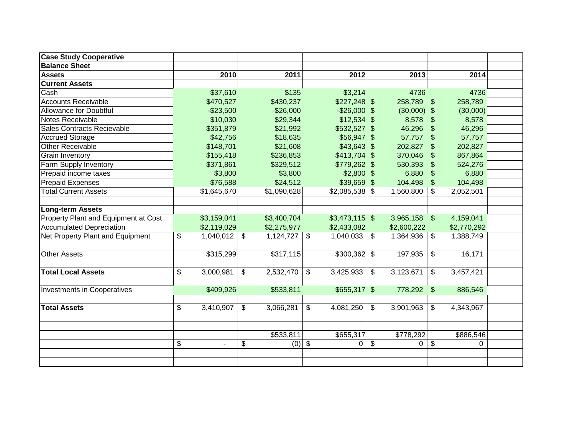| <b>Case Study Cooperative</b>           |                       |                 |                |                 |                      |                |             |  |
|-----------------------------------------|-----------------------|-----------------|----------------|-----------------|----------------------|----------------|-------------|--|
| <b>Balance Sheet</b>                    |                       |                 |                |                 |                      |                |             |  |
| <b>Assets</b>                           | 2010                  | 2011            |                | 2012            | 2013                 |                | 2014        |  |
| <b>Current Assets</b>                   |                       |                 |                |                 |                      |                |             |  |
| Cash                                    | \$37,610              | \$135           |                | \$3,214         | 4736                 |                | 4736        |  |
| <b>Accounts Receivable</b>              | \$470,527             | \$430,237       |                | $$227,248$ \$   | 258,789 \$           |                | 258,789     |  |
| <b>Allowance for Doubtful</b>           | $-$23,500$            | $-$26,000$      |                | $-$ \$26,000 \$ | $(30,000)$ \$        |                | (30,000)    |  |
| Notes Receivable                        | \$10,030              | \$29,344        |                | $$12,534$ \$    | 8,578                | $\mathfrak{F}$ | 8,578       |  |
| Sales Contracts Recievable              | \$351,879             | \$21,992        |                | \$532,527 \$    | 46,296               | \$             | 46,296      |  |
| <b>Accrued Storage</b>                  | \$42,756              | \$18,635        |                | \$56,947 \$     | 57,757               | $\mathfrak{S}$ | 57,757      |  |
| <b>Other Receivable</b>                 | \$148,701             | \$21,608        |                | $$43,643$ \$    | 202,827              | $\mathfrak{L}$ | 202,827     |  |
| <b>Grain Inventory</b>                  | \$155,418             | \$236,853       |                | \$413,704 \$    | 370,046              | \$             | 867,864     |  |
| Farm Supply Inventory                   | \$371,861             | \$329,512       |                | \$779,262 \$    | 530,393              | \$             | 524,276     |  |
| Prepaid income taxes                    | \$3,800               | \$3,800         |                | $$2,800$ \$     | 6,880                | \$             | 6,880       |  |
| <b>Prepaid Expenses</b>                 | \$76,588              | \$24,512        |                | \$39,659 \$     | 104,498              | $\mathfrak{L}$ | 104,498     |  |
| <b>Total Current Assets</b>             | \$1,645,670           | \$1,090,628     |                | $$2,085,538$ \$ | 1,560,800            | \$             | 2,052,501   |  |
|                                         |                       |                 |                |                 |                      |                |             |  |
| Long-term Assets                        |                       |                 |                |                 |                      |                |             |  |
| Property Plant and Equipment at Cost    | \$3,159,041           | \$3,400,704     |                | $$3,473,115$ \$ | 3,965,158 \$         |                | 4,159,041   |  |
| <b>Accumulated Depreciation</b>         | \$2,119,029           | \$2,275,977     |                | \$2,433,082     | \$2,600,222          |                | \$2,770,292 |  |
| <b>Net Property Plant and Equipment</b> | \$<br>$1,040,012$ \\$ | 1,124,727       | \$             | 1,040,033       | \$<br>1,364,936      | \$             | 1,388,749   |  |
|                                         |                       |                 |                |                 |                      |                |             |  |
| <b>Other Assets</b>                     | \$315,299             | \$317,115       |                | $$300,362$ \$   | 197,935              | \$             | 16,171      |  |
|                                         |                       |                 |                |                 |                      |                |             |  |
| <b>Total Local Assets</b>               | \$<br>3,000,981       | \$<br>2,532,470 | \$             | 3,425,933       | \$<br>3,123,671      | \$             | 3,457,421   |  |
|                                         |                       |                 |                |                 |                      |                |             |  |
| Investments in Cooperatives             | \$409,926             | \$533,811       |                | $$655,317$ \$   | 778,292 \$           |                | 886,546     |  |
|                                         |                       |                 |                |                 |                      |                |             |  |
| <b>Total Assets</b>                     | \$<br>3,410,907       | \$<br>3,066,281 | $\mathfrak{S}$ | 4,081,250       | \$<br>3,901,963      | \$             | 4,343,967   |  |
|                                         |                       |                 |                |                 |                      |                |             |  |
|                                         |                       |                 |                |                 |                      |                |             |  |
|                                         |                       | \$533,811       |                | \$655,317       | \$778,292            |                | \$886,546   |  |
|                                         | \$<br>$\blacksquare$  | \$<br>$(0)$ \$  |                | $\mathbf 0$     | \$<br>$\overline{0}$ | $\frac{1}{2}$  | 0           |  |
|                                         |                       |                 |                |                 |                      |                |             |  |
|                                         |                       |                 |                |                 |                      |                |             |  |